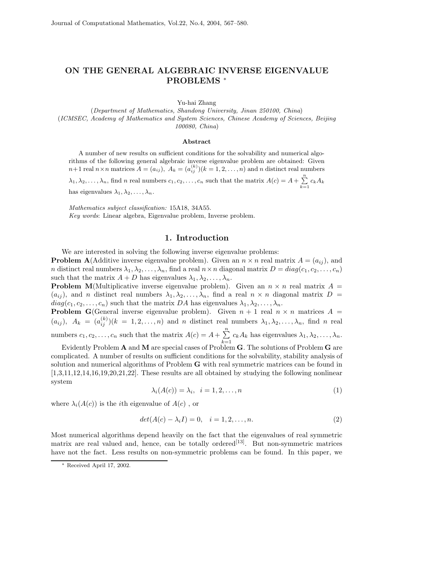## **ON THE GENERAL ALGEBRAIC INVERSE EIGENVALUE PROBLEMS** <sup>∗</sup>

Yu-hai Zhang

(*Department of Mathematics, Shandong University, Jinan 250100, China*) (*ICMSEC, Academy of Mathematics and System Sciences, Chinese Academy of Sciences, Beijing 100080, China*)

## **Abstract**

A number of new results on sufficient conditions for the solvability and numerical algorithms of the following general algebraic inverse eigenvalue problem are obtained: Given  $n+1$  real  $n \times n$  matrices  $A = (a_{ij}), A_k = (a_{ij}^{(k)})(k = 1, 2, ..., n)$  and n distinct real numbers  $\lambda_1, \lambda_2, \ldots, \lambda_n$ , find *n* real numbers  $c_1, c_2, \ldots, c_n$  such that the matrix  $A(c) = A + \sum_{k=1}^n c_k A_k$ 

has eigenvalues  $\lambda_1, \lambda_2, \ldots, \lambda_n$ .

*Mathematics subject classification:* 15A18, 34A55. *Key words*: Linear algebra, Eigenvalue problem, Inverse problem.

## **1. Introduction**

We are interested in solving the following inverse eigenvalue problems: **Problem A**(Additive inverse eigenvalue problem). Given an  $n \times n$  real matrix  $A = (a_{ij})$ , and n distinct real numbers  $\lambda_1, \lambda_2, \ldots, \lambda_n$ , find a real  $n \times n$  diagonal matrix  $D = diag(c_1, c_2, \ldots, c_n)$ such that the matrix  $A + D$  has eigenvalues  $\lambda_1, \lambda_2, \ldots, \lambda_n$ .

**Problem M**(Multiplicative inverse eigenvalue problem). Given an  $n \times n$  real matrix  $A =$  $(a_{ij})$ , and n distinct real numbers  $\lambda_1, \lambda_2, \ldots, \lambda_n$ , find a real  $n \times n$  diagonal matrix  $D =$  $diag(c_1, c_2, \ldots, c_n)$  such that the matrix DA has eigenvalues  $\lambda_1, \lambda_2, \ldots, \lambda_n$ .

**Problem G**(General inverse eigenvalue problem). Given  $n + 1$  real  $n \times n$  matrices  $A =$  $(a_{ij}), A_k = (a_{ij}^{(k)})(k = 1, 2, \ldots, n)$  and n distinct real numbers  $\lambda_1, \lambda_2, \ldots, \lambda_n$ , find n real numbers  $c_1, c_2, \ldots, c_n$  such that the matrix  $A(c) = A + \sum_{k=1}^n c_k A_k$  has eigenvalues  $\lambda_1, \lambda_2, \ldots, \lambda_n$ .

Evidently Problem **A** and **M** are special cases of Problem **G**. The solutions of Problem **G** are complicated. A number of results on sufficient conditions for the solvability, stability analysis of solution and numerical algorithms of Problem **G** with real symmetric matrices can be found in [1,3,11,12,14,16,19,20,21,22]. These results are all obtained by studying the following nonlinear system

$$
\lambda_i(A(c)) = \lambda_i, \quad i = 1, 2, \dots, n
$$
\n<sup>(1)</sup>

where  $\lambda_i(A(c))$  is the *i*th eigenvalue of  $A(c)$ , or

$$
det(A(c) - \lambda_i I) = 0, \quad i = 1, 2, ..., n.
$$
 (2)

Most numerical algorithms depend heavily on the fact that the eigenvalues of real symmetric matrix are real valued and, hence, can be totally ordered<sup>[13]</sup>. But non-symmetric matrices have not the fact. Less results on non-symmetric problems can be found. In this paper, we

<sup>∗</sup> Received April 17, 2002.